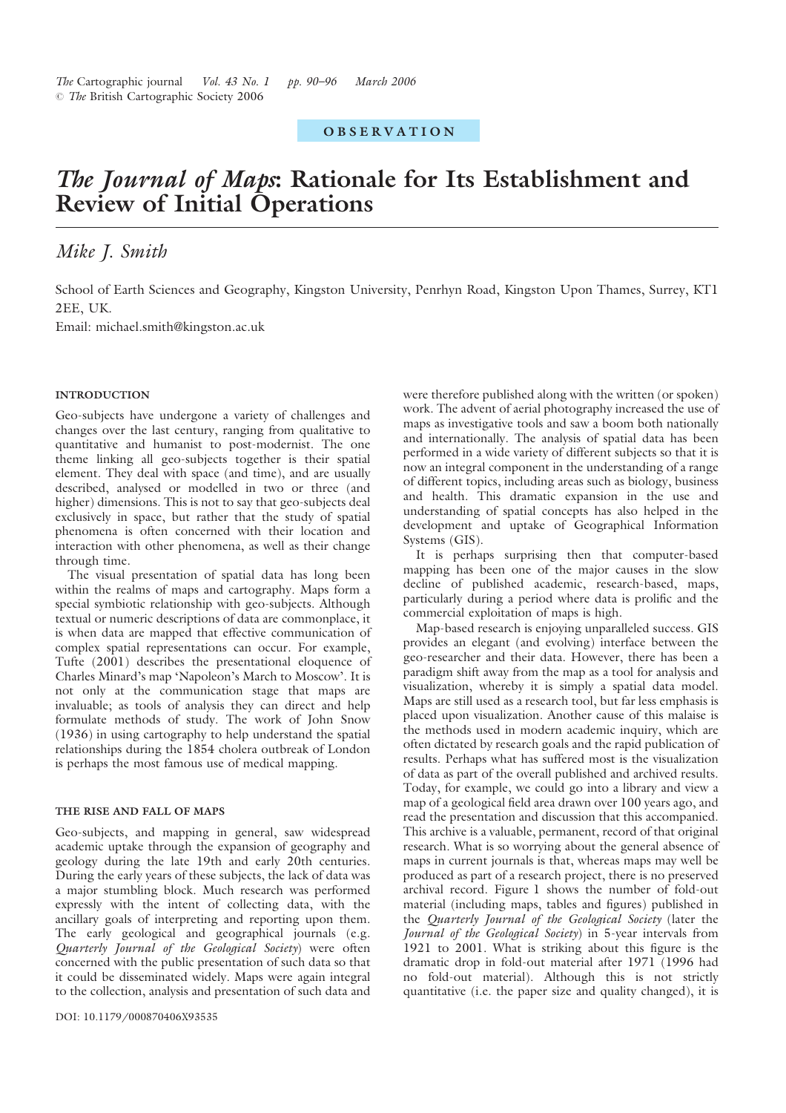# **OBSERVATION**

# The Journal of Maps: Rationale for Its Establishment and Review of Initial Operations

# Mike J. Smith

School of Earth Sciences and Geography, Kingston University, Penrhyn Road, Kingston Upon Thames, Surrey, KT1 2EE, UK.

Email: michael.smith@kingston.ac.uk

# INTRODUCTION

Geo-subjects have undergone a variety of challenges and changes over the last century, ranging from qualitative to quantitative and humanist to post-modernist. The one theme linking all geo-subjects together is their spatial element. They deal with space (and time), and are usually described, analysed or modelled in two or three (and higher) dimensions. This is not to say that geo-subjects deal exclusively in space, but rather that the study of spatial phenomena is often concerned with their location and interaction with other phenomena, as well as their change through time.

The visual presentation of spatial data has long been within the realms of maps and cartography. Maps form a special symbiotic relationship with geo-subjects. Although textual or numeric descriptions of data are commonplace, it is when data are mapped that effective communication of complex spatial representations can occur. For example, Tufte (2001) describes the presentational eloquence of Charles Minard's map 'Napoleon's March to Moscow'. It is not only at the communication stage that maps are invaluable; as tools of analysis they can direct and help formulate methods of study. The work of John Snow (1936) in using cartography to help understand the spatial relationships during the 1854 cholera outbreak of London is perhaps the most famous use of medical mapping.

#### THE RISE AND FALL OF MAPS

Geo-subjects, and mapping in general, saw widespread academic uptake through the expansion of geography and geology during the late 19th and early 20th centuries. During the early years of these subjects, the lack of data was a major stumbling block. Much research was performed expressly with the intent of collecting data, with the ancillary goals of interpreting and reporting upon them. The early geological and geographical journals (e.g. Quarterly Journal of the Geological Society) were often concerned with the public presentation of such data so that it could be disseminated widely. Maps were again integral to the collection, analysis and presentation of such data and were therefore published along with the written (or spoken) work. The advent of aerial photography increased the use of maps as investigative tools and saw a boom both nationally and internationally. The analysis of spatial data has been performed in a wide variety of different subjects so that it is now an integral component in the understanding of a range of different topics, including areas such as biology, business and health. This dramatic expansion in the use and understanding of spatial concepts has also helped in the development and uptake of Geographical Information Systems (GIS).

It is perhaps surprising then that computer-based mapping has been one of the major causes in the slow decline of published academic, research-based, maps, particularly during a period where data is prolific and the commercial exploitation of maps is high.

Map-based research is enjoying unparalleled success. GIS provides an elegant (and evolving) interface between the geo-researcher and their data. However, there has been a paradigm shift away from the map as a tool for analysis and visualization, whereby it is simply a spatial data model. Maps are still used as a research tool, but far less emphasis is placed upon visualization. Another cause of this malaise is the methods used in modern academic inquiry, which are often dictated by research goals and the rapid publication of results. Perhaps what has suffered most is the visualization of data as part of the overall published and archived results. Today, for example, we could go into a library and view a map of a geological field area drawn over 100 years ago, and read the presentation and discussion that this accompanied. This archive is a valuable, permanent, record of that original research. What is so worrying about the general absence of maps in current journals is that, whereas maps may well be produced as part of a research project, there is no preserved archival record. Figure 1 shows the number of fold-out material (including maps, tables and figures) published in the Quarterly Journal of the Geological Society (later the Journal of the Geological Society) in 5-year intervals from 1921 to 2001. What is striking about this figure is the dramatic drop in fold-out material after 1971 (1996 had no fold-out material). Although this is not strictly quantitative (i.e. the paper size and quality changed), it is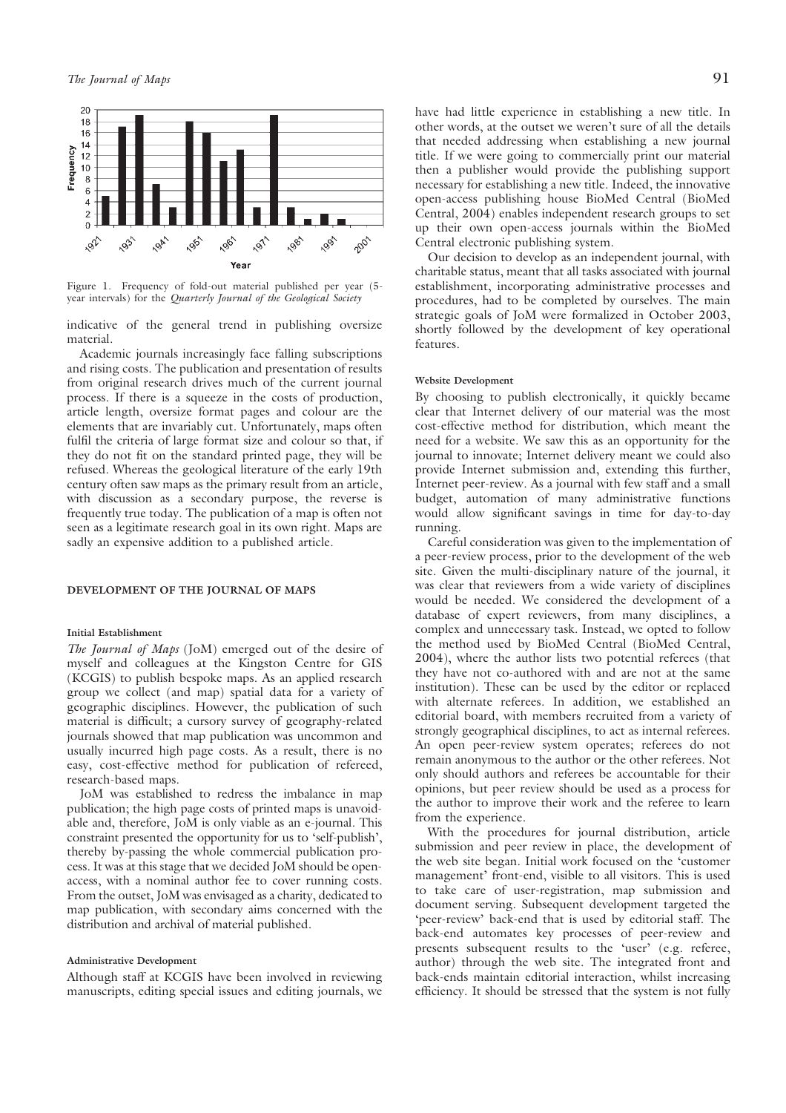

Figure 1. Frequency of fold-out material published per year (5year intervals) for the Quarterly Journal of the Geological Society

indicative of the general trend in publishing oversize material.

Academic journals increasingly face falling subscriptions and rising costs. The publication and presentation of results from original research drives much of the current journal process. If there is a squeeze in the costs of production, article length, oversize format pages and colour are the elements that are invariably cut. Unfortunately, maps often fulfil the criteria of large format size and colour so that, if they do not fit on the standard printed page, they will be refused. Whereas the geological literature of the early 19th century often saw maps as the primary result from an article, with discussion as a secondary purpose, the reverse is frequently true today. The publication of a map is often not seen as a legitimate research goal in its own right. Maps are sadly an expensive addition to a published article.

## DEVELOPMENT OF THE JOURNAL OF MAPS

#### Initial Establishment

The Journal of Maps (JoM) emerged out of the desire of myself and colleagues at the Kingston Centre for GIS (KCGIS) to publish bespoke maps. As an applied research group we collect (and map) spatial data for a variety of geographic disciplines. However, the publication of such material is difficult; a cursory survey of geography-related journals showed that map publication was uncommon and usually incurred high page costs. As a result, there is no easy, cost-effective method for publication of refereed, research-based maps.

JoM was established to redress the imbalance in map publication; the high page costs of printed maps is unavoidable and, therefore, JoM is only viable as an e-journal. This constraint presented the opportunity for us to 'self-publish', thereby by-passing the whole commercial publication process. It was at this stage that we decided JoM should be openaccess, with a nominal author fee to cover running costs. From the outset, JoM was envisaged as a charity, dedicated to map publication, with secondary aims concerned with the distribution and archival of material published.

#### Administrative Development

Although staff at KCGIS have been involved in reviewing manuscripts, editing special issues and editing journals, we have had little experience in establishing a new title. In other words, at the outset we weren't sure of all the details that needed addressing when establishing a new journal title. If we were going to commercially print our material then a publisher would provide the publishing support necessary for establishing a new title. Indeed, the innovative open-access publishing house BioMed Central (BioMed Central, 2004) enables independent research groups to set up their own open-access journals within the BioMed Central electronic publishing system.

Our decision to develop as an independent journal, with charitable status, meant that all tasks associated with journal establishment, incorporating administrative processes and procedures, had to be completed by ourselves. The main strategic goals of JoM were formalized in October 2003, shortly followed by the development of key operational features.

#### Website Development

By choosing to publish electronically, it quickly became clear that Internet delivery of our material was the most cost-effective method for distribution, which meant the need for a website. We saw this as an opportunity for the journal to innovate; Internet delivery meant we could also provide Internet submission and, extending this further, Internet peer-review. As a journal with few staff and a small budget, automation of many administrative functions would allow significant savings in time for day-to-day running.

Careful consideration was given to the implementation of a peer-review process, prior to the development of the web site. Given the multi-disciplinary nature of the journal, it was clear that reviewers from a wide variety of disciplines would be needed. We considered the development of a database of expert reviewers, from many disciplines, a complex and unnecessary task. Instead, we opted to follow the method used by BioMed Central (BioMed Central, 2004), where the author lists two potential referees (that they have not co-authored with and are not at the same institution). These can be used by the editor or replaced with alternate referees. In addition, we established an editorial board, with members recruited from a variety of strongly geographical disciplines, to act as internal referees. An open peer-review system operates; referees do not remain anonymous to the author or the other referees. Not only should authors and referees be accountable for their opinions, but peer review should be used as a process for the author to improve their work and the referee to learn from the experience.

With the procedures for journal distribution, article submission and peer review in place, the development of the web site began. Initial work focused on the 'customer management' front-end, visible to all visitors. This is used to take care of user-registration, map submission and document serving. Subsequent development targeted the 'peer-review' back-end that is used by editorial staff. The back-end automates key processes of peer-review and presents subsequent results to the 'user' (e.g. referee, author) through the web site. The integrated front and back-ends maintain editorial interaction, whilst increasing efficiency. It should be stressed that the system is not fully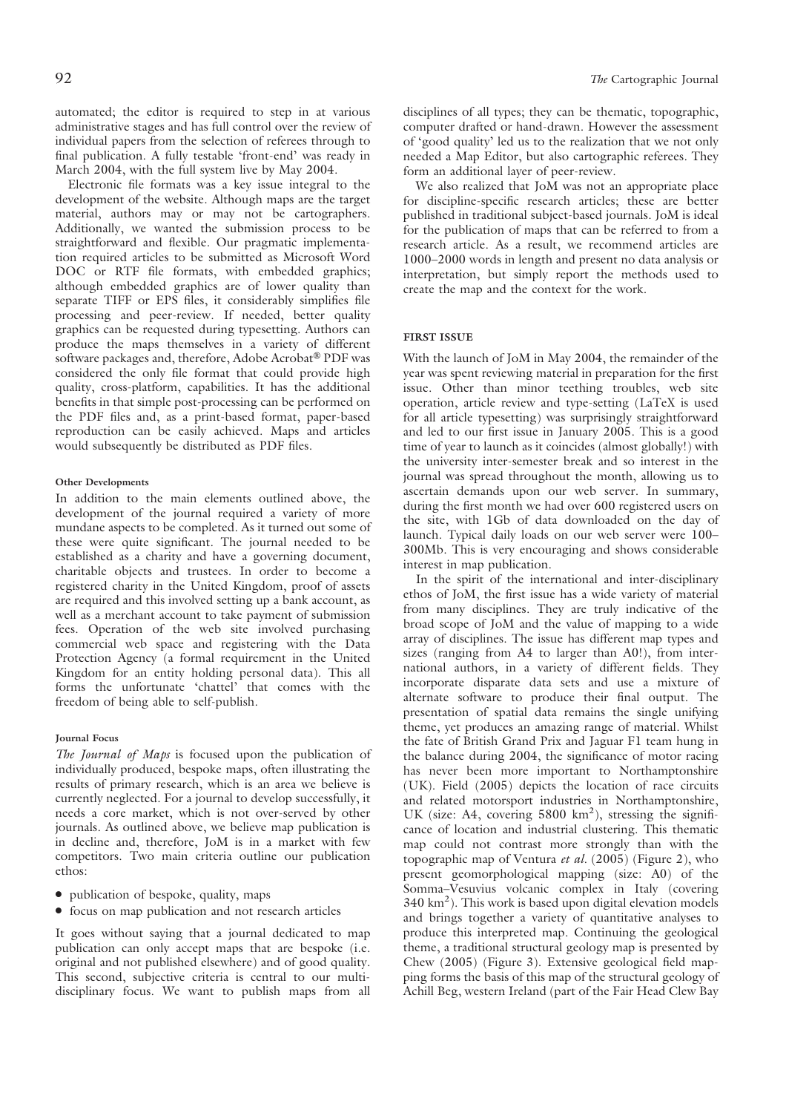automated; the editor is required to step in at various administrative stages and has full control over the review of individual papers from the selection of referees through to final publication. A fully testable 'front-end' was ready in March 2004, with the full system live by May 2004.

Electronic file formats was a key issue integral to the development of the website. Although maps are the target material, authors may or may not be cartographers. Additionally, we wanted the submission process to be straightforward and flexible. Our pragmatic implementation required articles to be submitted as Microsoft Word DOC or RTF file formats, with embedded graphics; although embedded graphics are of lower quality than separate TIFF or EPS files, it considerably simplifies file processing and peer-review. If needed, better quality graphics can be requested during typesetting. Authors can produce the maps themselves in a variety of different software packages and, therefore, Adobe Acrobat® PDF was considered the only file format that could provide high quality, cross-platform, capabilities. It has the additional benefits in that simple post-processing can be performed on the PDF files and, as a print-based format, paper-based reproduction can be easily achieved. Maps and articles would subsequently be distributed as PDF files.

### Other Developments

In addition to the main elements outlined above, the development of the journal required a variety of more mundane aspects to be completed. As it turned out some of these were quite significant. The journal needed to be established as a charity and have a governing document, charitable objects and trustees. In order to become a registered charity in the United Kingdom, proof of assets are required and this involved setting up a bank account, as well as a merchant account to take payment of submission fees. Operation of the web site involved purchasing commercial web space and registering with the Data Protection Agency (a formal requirement in the United Kingdom for an entity holding personal data). This all forms the unfortunate 'chattel' that comes with the freedom of being able to self-publish.

# Journal Focus

The Journal of Maps is focused upon the publication of individually produced, bespoke maps, often illustrating the results of primary research, which is an area we believe is currently neglected. For a journal to develop successfully, it needs a core market, which is not over-served by other journals. As outlined above, we believe map publication is in decline and, therefore, JoM is in a market with few competitors. Two main criteria outline our publication ethos:

- publication of bespoke, quality, maps
- focus on map publication and not research articles

It goes without saying that a journal dedicated to map publication can only accept maps that are bespoke (i.e. original and not published elsewhere) and of good quality. This second, subjective criteria is central to our multidisciplinary focus. We want to publish maps from all disciplines of all types; they can be thematic, topographic, computer drafted or hand-drawn. However the assessment of 'good quality' led us to the realization that we not only needed a Map Editor, but also cartographic referees. They form an additional layer of peer-review.

We also realized that JoM was not an appropriate place for discipline-specific research articles; these are better published in traditional subject-based journals. JoM is ideal for the publication of maps that can be referred to from a research article. As a result, we recommend articles are 1000–2000 words in length and present no data analysis or interpretation, but simply report the methods used to create the map and the context for the work.

#### FIRST ISSUE

With the launch of JoM in May 2004, the remainder of the year was spent reviewing material in preparation for the first issue. Other than minor teething troubles, web site operation, article review and type-setting (LaTeX is used for all article typesetting) was surprisingly straightforward and led to our first issue in January 2005. This is a good time of year to launch as it coincides (almost globally!) with the university inter-semester break and so interest in the journal was spread throughout the month, allowing us to ascertain demands upon our web server. In summary, during the first month we had over 600 registered users on the site, with 1Gb of data downloaded on the day of launch. Typical daily loads on our web server were 100– 300Mb. This is very encouraging and shows considerable interest in map publication.

In the spirit of the international and inter-disciplinary ethos of JoM, the first issue has a wide variety of material from many disciplines. They are truly indicative of the broad scope of JoM and the value of mapping to a wide array of disciplines. The issue has different map types and sizes (ranging from A4 to larger than A0!), from international authors, in a variety of different fields. They incorporate disparate data sets and use a mixture of alternate software to produce their final output. The presentation of spatial data remains the single unifying theme, yet produces an amazing range of material. Whilst the fate of British Grand Prix and Jaguar F1 team hung in the balance during 2004, the significance of motor racing has never been more important to Northamptonshire (UK). Field (2005) depicts the location of race circuits and related motorsport industries in Northamptonshire, UK (size: A4, covering 5800 km<sup>2</sup>), stressing the significance of location and industrial clustering. This thematic map could not contrast more strongly than with the topographic map of Ventura et al. (2005) (Figure 2), who present geomorphological mapping (size: A0) of the Somma–Vesuvius volcanic complex in Italy (covering 340 km2 ). This work is based upon digital elevation models and brings together a variety of quantitative analyses to produce this interpreted map. Continuing the geological theme, a traditional structural geology map is presented by Chew (2005) (Figure 3). Extensive geological field mapping forms the basis of this map of the structural geology of Achill Beg, western Ireland (part of the Fair Head Clew Bay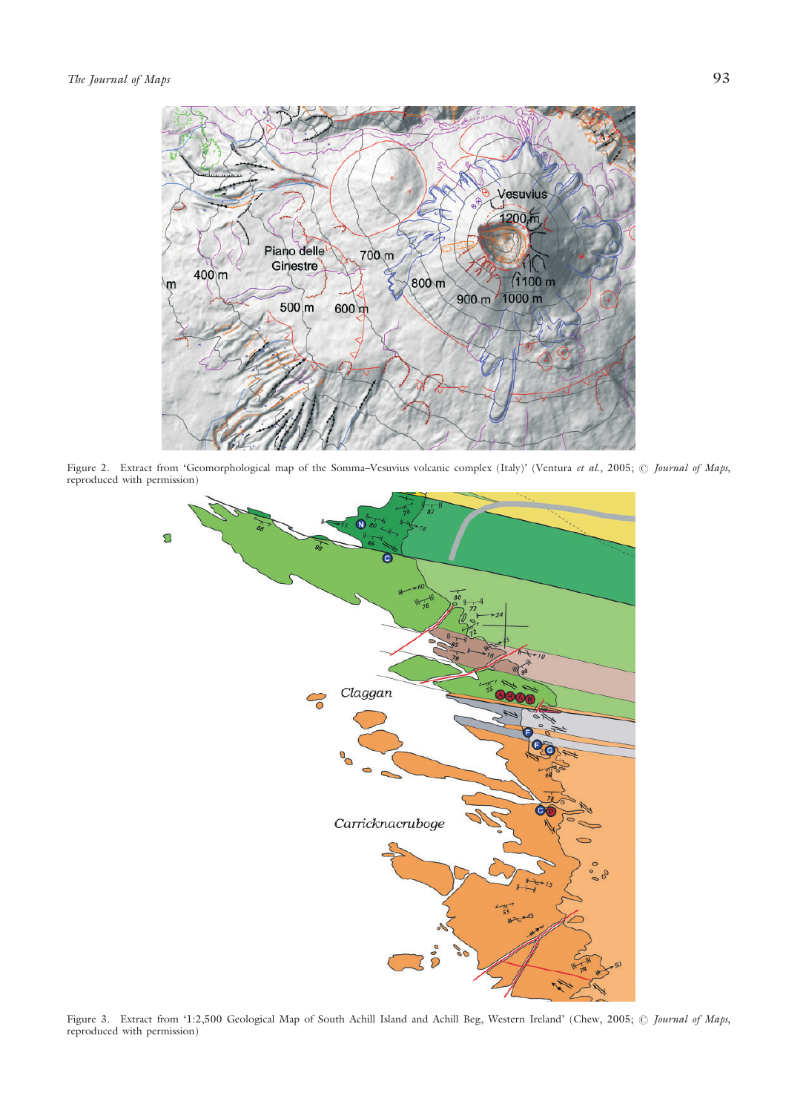

Figure 2. Extract from 'Geomorphological map of the Somma–Vesuvius volcanic complex (Italy)' (Ventura et al., 2005; © Journal of Maps, reproduced with permission)



Figure 3. Extract from '1:2,500 Geological Map of South Achill Island and Achill Beg, Western Ireland' (Chew, 2005; @ Journal of Maps, reproduced with permission)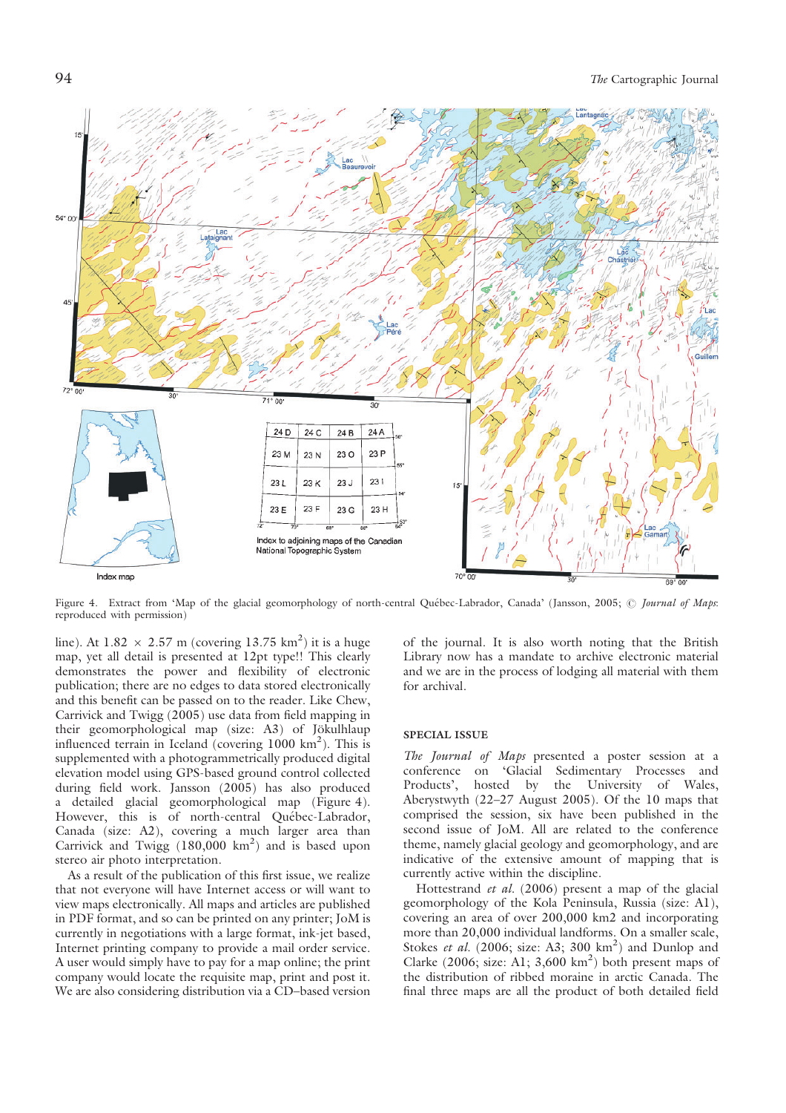

Figure 4. Extract from 'Map of the glacial geomorphology of north-central Québec-Labrador, Canada' (Jansson, 2005; @ Journal of Maps: reproduced with permission)

line). At  $1.82 \times 2.57$  m (covering  $13.75$  km<sup>2</sup>) it is a huge map, yet all detail is presented at 12pt type!! This clearly demonstrates the power and flexibility of electronic publication; there are no edges to data stored electronically and this benefit can be passed on to the reader. Like Chew, Carrivick and Twigg (2005) use data from field mapping in their geomorphological map (size: A3) of Jökulhlaup influenced terrain in Iceland (covering  $1000 \text{ km}^2$ ). This is supplemented with a photogrammetrically produced digital elevation model using GPS-based ground control collected during field work. Jansson (2005) has also produced a detailed glacial geomorphological map (Figure 4). However, this is of north-central Québec-Labrador, Canada (size: A2), covering a much larger area than Carrivick and Twigg  $(180,000 \text{ km}^2)$  and is based upon stereo air photo interpretation.

As a result of the publication of this first issue, we realize that not everyone will have Internet access or will want to view maps electronically. All maps and articles are published in PDF format, and so can be printed on any printer; JoM is currently in negotiations with a large format, ink-jet based, Internet printing company to provide a mail order service. A user would simply have to pay for a map online; the print company would locate the requisite map, print and post it. We are also considering distribution via a CD–based version of the journal. It is also worth noting that the British Library now has a mandate to archive electronic material and we are in the process of lodging all material with them for archival.

#### SPECIAL ISSUE

The Journal of Maps presented a poster session at a conference on 'Glacial Sedimentary Processes and Products', hosted by the University of Wales, Aberystwyth (22–27 August 2005). Of the 10 maps that comprised the session, six have been published in the second issue of JoM. All are related to the conference theme, namely glacial geology and geomorphology, and are indicative of the extensive amount of mapping that is currently active within the discipline.

Hottestrand et al. (2006) present a map of the glacial geomorphology of the Kola Peninsula, Russia (size: A1), covering an area of over 200,000 km2 and incorporating more than 20,000 individual landforms. On a smaller scale, Stokes et al.  $(2006; \text{ size: A3}; 300 \text{ km}^2)$  and Dunlop and Clarke (2006; size: A1;  $3,600 \text{ km}^2$ ) both present maps of the distribution of ribbed moraine in arctic Canada. The final three maps are all the product of both detailed field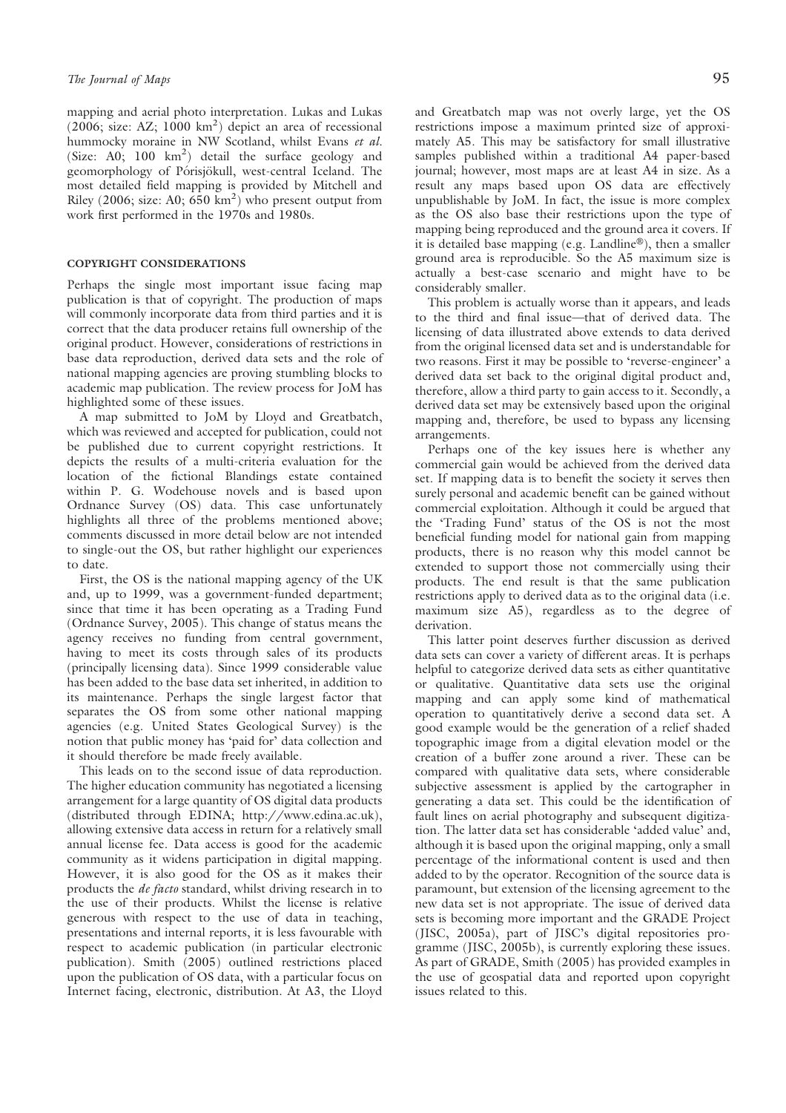mapping and aerial photo interpretation. Lukas and Lukas  $(2006; \text{ size: AZ}; 1000 \text{ km}^2)$  depict an area of recessional hummocky moraine in NW Scotland, whilst Evans et al. (Size: A0; 100  $\text{km}^2$ ) detail the surface geology and geomorphology of Pórisjökull, west-central Iceland. The most detailed field mapping is provided by Mitchell and Riley (2006; size: A0;  $650 \text{ km}^2$ ) who present output from work first performed in the 1970s and 1980s.

# COPYRIGHT CONSIDERATIONS

Perhaps the single most important issue facing map publication is that of copyright. The production of maps will commonly incorporate data from third parties and it is correct that the data producer retains full ownership of the original product. However, considerations of restrictions in base data reproduction, derived data sets and the role of national mapping agencies are proving stumbling blocks to academic map publication. The review process for JoM has highlighted some of these issues.

A map submitted to JoM by Lloyd and Greatbatch, which was reviewed and accepted for publication, could not be published due to current copyright restrictions. It depicts the results of a multi-criteria evaluation for the location of the fictional Blandings estate contained within P. G. Wodehouse novels and is based upon Ordnance Survey (OS) data. This case unfortunately highlights all three of the problems mentioned above; comments discussed in more detail below are not intended to single-out the OS, but rather highlight our experiences to date.

First, the OS is the national mapping agency of the UK and, up to 1999, was a government-funded department; since that time it has been operating as a Trading Fund (Ordnance Survey, 2005). This change of status means the agency receives no funding from central government, having to meet its costs through sales of its products (principally licensing data). Since 1999 considerable value has been added to the base data set inherited, in addition to its maintenance. Perhaps the single largest factor that separates the OS from some other national mapping agencies (e.g. United States Geological Survey) is the notion that public money has 'paid for' data collection and it should therefore be made freely available.

This leads on to the second issue of data reproduction. The higher education community has negotiated a licensing arrangement for a large quantity of OS digital data products (distributed through EDINA; http://www.edina.ac.uk), allowing extensive data access in return for a relatively small annual license fee. Data access is good for the academic community as it widens participation in digital mapping. However, it is also good for the OS as it makes their products the de facto standard, whilst driving research in to the use of their products. Whilst the license is relative generous with respect to the use of data in teaching, presentations and internal reports, it is less favourable with respect to academic publication (in particular electronic publication). Smith (2005) outlined restrictions placed upon the publication of OS data, with a particular focus on Internet facing, electronic, distribution. At A3, the Lloyd

and Greatbatch map was not overly large, yet the OS restrictions impose a maximum printed size of approximately A5. This may be satisfactory for small illustrative samples published within a traditional A4 paper-based journal; however, most maps are at least A4 in size. As a result any maps based upon OS data are effectively unpublishable by JoM. In fact, the issue is more complex as the OS also base their restrictions upon the type of mapping being reproduced and the ground area it covers. If it is detailed base mapping (e.g. Landline®), then a smaller ground area is reproducible. So the A5 maximum size is actually a best-case scenario and might have to be considerably smaller.

This problem is actually worse than it appears, and leads to the third and final issue—that of derived data. The licensing of data illustrated above extends to data derived from the original licensed data set and is understandable for two reasons. First it may be possible to 'reverse-engineer' a derived data set back to the original digital product and, therefore, allow a third party to gain access to it. Secondly, a derived data set may be extensively based upon the original mapping and, therefore, be used to bypass any licensing arrangements.

Perhaps one of the key issues here is whether any commercial gain would be achieved from the derived data set. If mapping data is to benefit the society it serves then surely personal and academic benefit can be gained without commercial exploitation. Although it could be argued that the 'Trading Fund' status of the OS is not the most beneficial funding model for national gain from mapping products, there is no reason why this model cannot be extended to support those not commercially using their products. The end result is that the same publication restrictions apply to derived data as to the original data (i.e. maximum size A5), regardless as to the degree of derivation.

This latter point deserves further discussion as derived data sets can cover a variety of different areas. It is perhaps helpful to categorize derived data sets as either quantitative or qualitative. Quantitative data sets use the original mapping and can apply some kind of mathematical operation to quantitatively derive a second data set. A good example would be the generation of a relief shaded topographic image from a digital elevation model or the creation of a buffer zone around a river. These can be compared with qualitative data sets, where considerable subjective assessment is applied by the cartographer in generating a data set. This could be the identification of fault lines on aerial photography and subsequent digitization. The latter data set has considerable 'added value' and, although it is based upon the original mapping, only a small percentage of the informational content is used and then added to by the operator. Recognition of the source data is paramount, but extension of the licensing agreement to the new data set is not appropriate. The issue of derived data sets is becoming more important and the GRADE Project (JISC, 2005a), part of JISC's digital repositories programme (JISC, 2005b), is currently exploring these issues. As part of GRADE, Smith (2005) has provided examples in the use of geospatial data and reported upon copyright issues related to this.